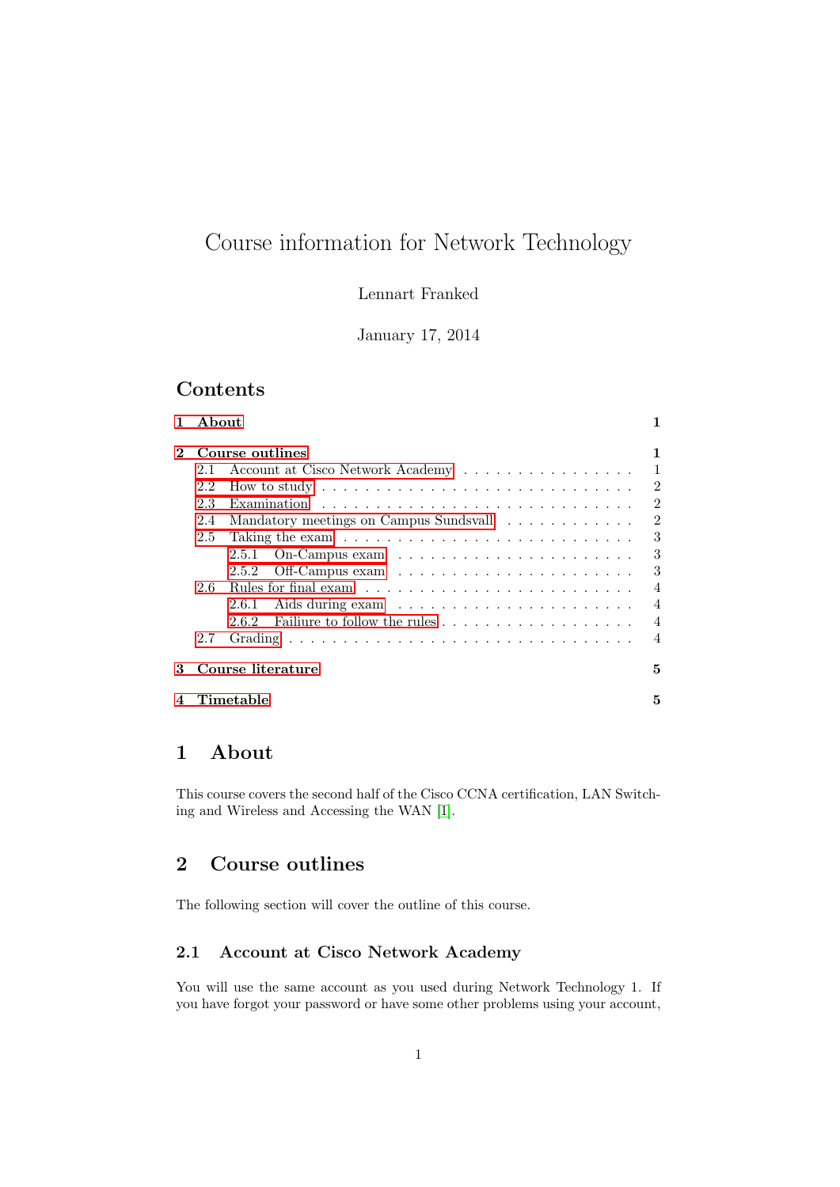# Course information for Network Technology

Lennart Franked

January 17, 2014

## Contents

|     |                                        | 1                                                           |
|-----|----------------------------------------|-------------------------------------------------------------|
|     |                                        | 1                                                           |
| 2.1 | Account at Cisco Network Academy       | $\mathbf{1}$                                                |
| 2.2 |                                        | $\overline{2}$                                              |
| 2.3 |                                        | $\overline{2}$                                              |
| 2.4 | Mandatory meetings on Campus Sundsvall | 2                                                           |
| 2.5 |                                        | 3                                                           |
|     | 2.5.1                                  | 3                                                           |
|     | 2.5.2                                  | 3                                                           |
| 2.6 |                                        | $\overline{4}$                                              |
|     | 2.6.1                                  | $\overline{4}$                                              |
|     | 2.6.2                                  | $\overline{4}$                                              |
| 2.7 |                                        | $\overline{4}$                                              |
|     |                                        | 5                                                           |
|     |                                        | 5                                                           |
|     |                                        | A bout<br>Course outlines<br>Course literature<br>Timetable |

## <span id="page-0-0"></span>1 About

This course covers the second half of the Cisco CCNA certification, LAN Switching and Wireless and Accessing the WAN [\[1\]](#page-4-2).

## <span id="page-0-1"></span>2 Course outlines

The following section will cover the outline of this course.

## <span id="page-0-2"></span>2.1 Account at Cisco Network Academy

You will use the same account as you used during Network Technology 1. If you have forgot your password or have some other problems using your account,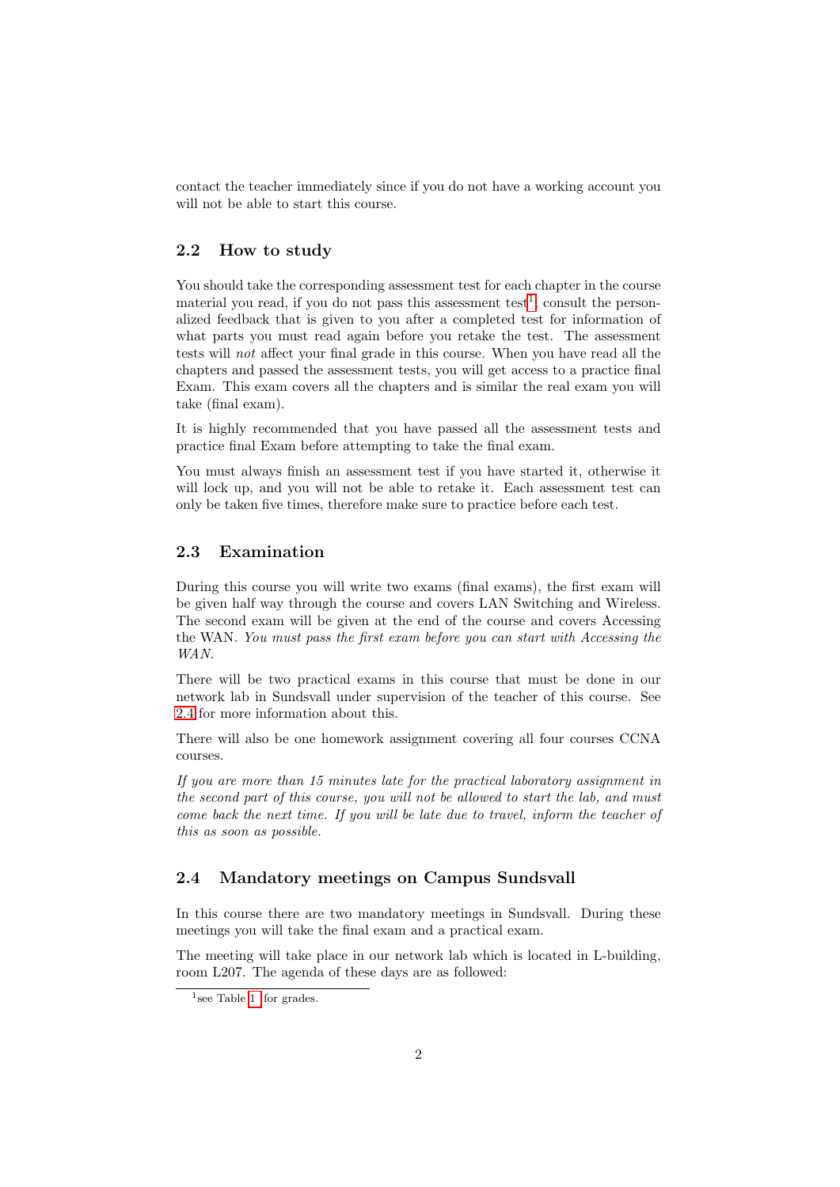contact the teacher immediately since if you do not have a working account you will not be able to start this course.

#### <span id="page-1-0"></span>2.2 How to study

You should take the corresponding assessment test for each chapter in the course material you read, if you do not pass this assessment test<sup>[1](#page-1-3)</sup>, consult the personalized feedback that is given to you after a completed test for information of what parts you must read again before you retake the test. The assessment tests will not affect your final grade in this course. When you have read all the chapters and passed the assessment tests, you will get access to a practice final Exam. This exam covers all the chapters and is similar the real exam you will take (final exam).

It is highly recommended that you have passed all the assessment tests and practice final Exam before attempting to take the final exam.

You must always finish an assessment test if you have started it, otherwise it will lock up, and you will not be able to retake it. Each assessment test can only be taken five times, therefore make sure to practice before each test.

## <span id="page-1-1"></span>2.3 Examination

During this course you will write two exams (final exams), the first exam will be given half way through the course and covers LAN Switching and Wireless. The second exam will be given at the end of the course and covers Accessing the WAN. You must pass the first exam before you can start with Accessing the WAN.

There will be two practical exams in this course that must be done in our network lab in Sundsvall under supervision of the teacher of this course. See [2.4](#page-1-2) for more information about this.

There will also be one homework assignment covering all four courses CCNA courses.

If you are more than 15 minutes late for the practical laboratory assignment in the second part of this course, you will not be allowed to start the lab, and must come back the next time. If you will be late due to travel, inform the teacher of this as soon as possible.

## <span id="page-1-2"></span>2.4 Mandatory meetings on Campus Sundsvall

In this course there are two mandatory meetings in Sundsvall. During these meetings you will take the final exam and a practical exam.

The meeting will take place in our network lab which is located in L-building, room L207. The agenda of these days are as followed:

<span id="page-1-3"></span><sup>&</sup>lt;sup>1</sup> see Table [1](#page-4-3) for grades.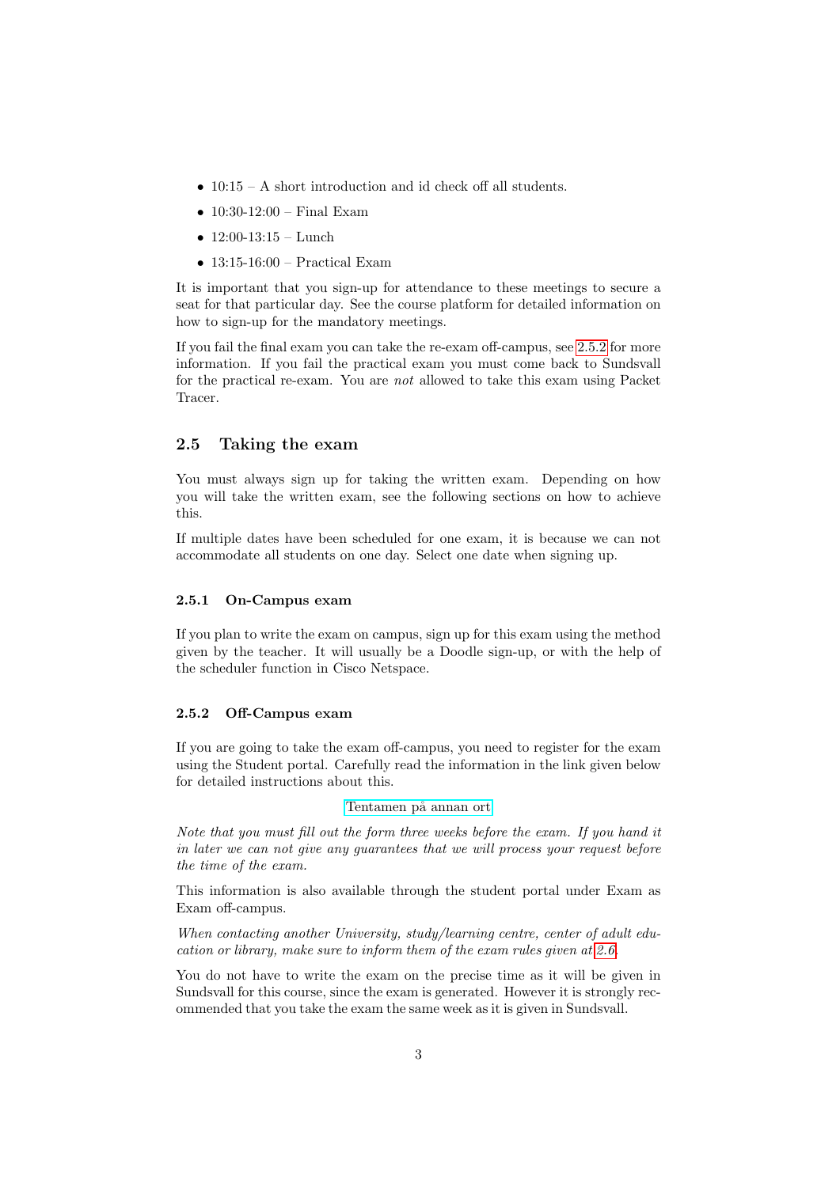- 10:15 A short introduction and id check off all students.
- $10:30-12:00$  Final Exam
- $12:00-13:15$  Lunch
- $\bullet$  13:15-16:00 Practical Exam

It is important that you sign-up for attendance to these meetings to secure a seat for that particular day. See the course platform for detailed information on how to sign-up for the mandatory meetings.

If you fail the final exam you can take the re-exam off-campus, see [2.5.2](#page-2-2) for more information. If you fail the practical exam you must come back to Sundsvall for the practical re-exam. You are not allowed to take this exam using Packet Tracer.

## <span id="page-2-0"></span>2.5 Taking the exam

You must always sign up for taking the written exam. Depending on how you will take the written exam, see the following sections on how to achieve this.

If multiple dates have been scheduled for one exam, it is because we can not accommodate all students on one day. Select one date when signing up.

#### <span id="page-2-1"></span>2.5.1 On-Campus exam

If you plan to write the exam on campus, sign up for this exam using the method given by the teacher. It will usually be a Doodle sign-up, or with the help of the scheduler function in Cisco Netspace.

#### <span id="page-2-2"></span>2.5.2 Off-Campus exam

If you are going to take the exam off-campus, you need to register for the exam using the Student portal. Carefully read the information in the link given below for detailed instructions about this.

#### Tentamen på annan ort

Note that you must fill out the form three weeks before the exam. If you hand it in later we can not give any guarantees that we will process your request before the time of the exam.

This information is also available through the student portal under Exam as Exam off-campus.

When contacting another University, study/learning centre, center of adult education or library, make sure to inform them of the exam rules given at [2.6.](#page-3-0)

You do not have to write the exam on the precise time as it will be given in Sundsvall for this course, since the exam is generated. However it is strongly recommended that you take the exam the same week as it is given in Sundsvall.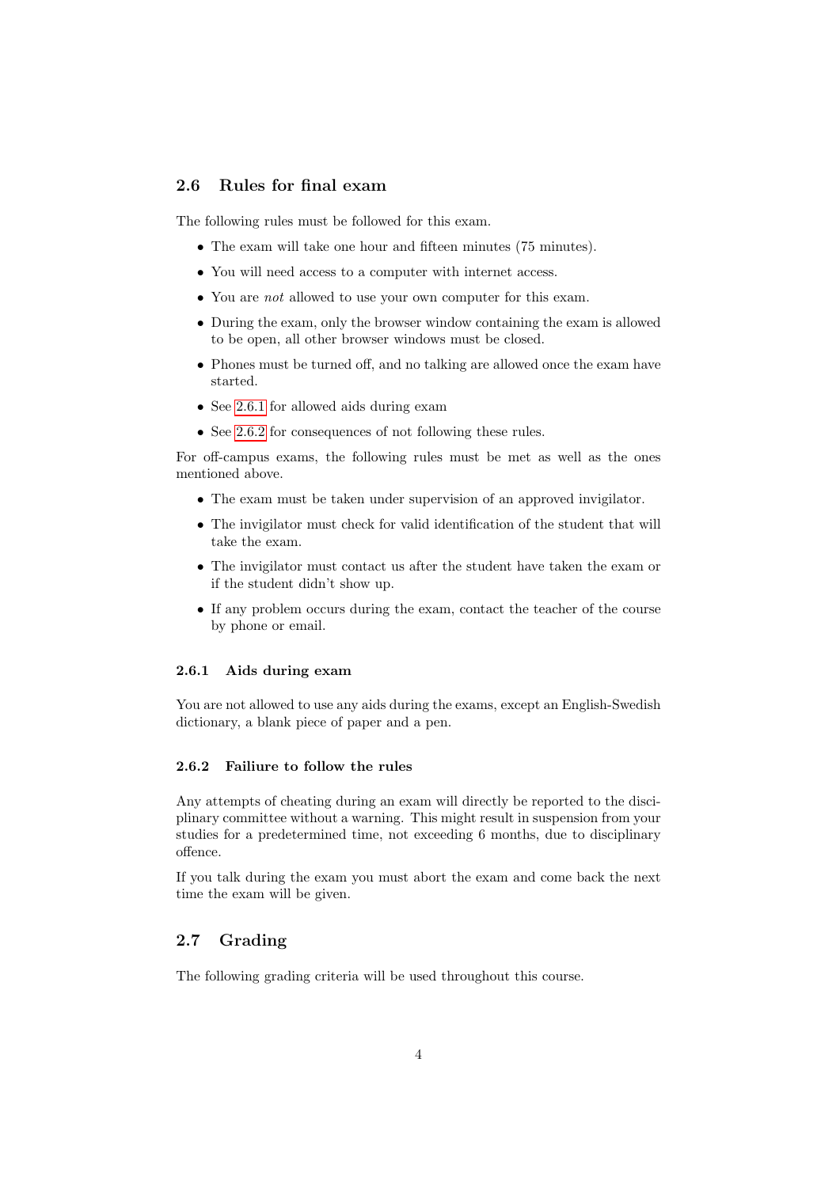## <span id="page-3-0"></span>2.6 Rules for final exam

The following rules must be followed for this exam.

- The exam will take one hour and fifteen minutes (75 minutes).
- You will need access to a computer with internet access.
- You are *not* allowed to use your own computer for this exam.
- During the exam, only the browser window containing the exam is allowed to be open, all other browser windows must be closed.
- Phones must be turned off, and no talking are allowed once the exam have started.
- See [2.6.1](#page-3-1) for allowed aids during exam
- See [2.6.2](#page-3-2) for consequences of not following these rules.

For off-campus exams, the following rules must be met as well as the ones mentioned above.

- The exam must be taken under supervision of an approved invigilator.
- The invigilator must check for valid identification of the student that will take the exam.
- The invigilator must contact us after the student have taken the exam or if the student didn't show up.
- If any problem occurs during the exam, contact the teacher of the course by phone or email.

#### <span id="page-3-1"></span>2.6.1 Aids during exam

You are not allowed to use any aids during the exams, except an English-Swedish dictionary, a blank piece of paper and a pen.

#### <span id="page-3-2"></span>2.6.2 Failiure to follow the rules

Any attempts of cheating during an exam will directly be reported to the disciplinary committee without a warning. This might result in suspension from your studies for a predetermined time, not exceeding 6 months, due to disciplinary offence.

If you talk during the exam you must abort the exam and come back the next time the exam will be given.

## <span id="page-3-3"></span>2.7 Grading

The following grading criteria will be used throughout this course.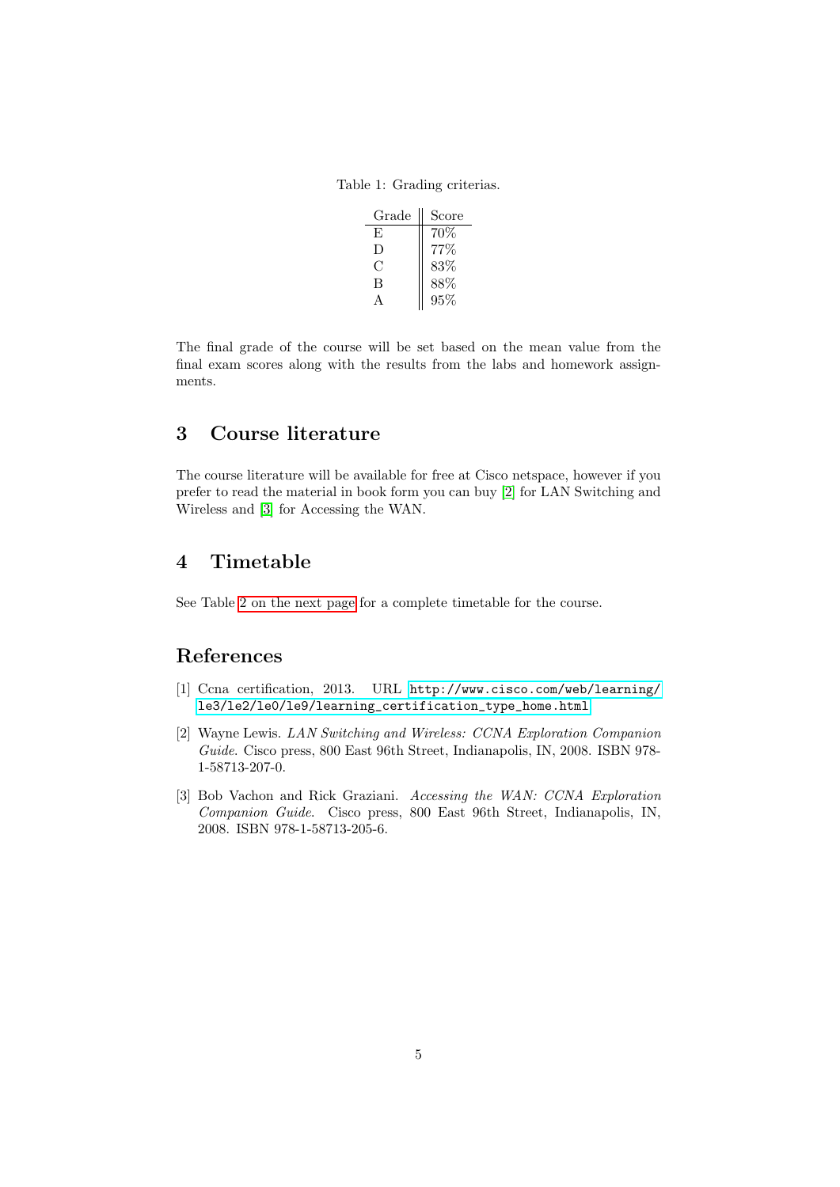<span id="page-4-3"></span>Table 1: Grading criterias.

| Grade | Score |
|-------|-------|
| F,    | 70%   |
| Ð     | 77%   |
| €     | 83%   |
| В     | 88%   |
|       | 95%   |

The final grade of the course will be set based on the mean value from the final exam scores along with the results from the labs and homework assignments.

## <span id="page-4-0"></span>3 Course literature

The course literature will be available for free at Cisco netspace, however if you prefer to read the material in book form you can buy [\[2\]](#page-4-4) for LAN Switching and Wireless and [\[3\]](#page-4-5) for Accessing the WAN.

## <span id="page-4-1"></span>4 Timetable

See Table [2 on the next page](#page-5-0) for a complete timetable for the course.

## References

- <span id="page-4-2"></span>[1] Ccna certification, 2013. URL [http://www.cisco.com/web/learning/](http://www.cisco.com/web/learning/le3/le2/le0/le9/learning_certification_type_home.html) [le3/le2/le0/le9/learning\\_certification\\_type\\_home.html](http://www.cisco.com/web/learning/le3/le2/le0/le9/learning_certification_type_home.html).
- <span id="page-4-4"></span>[2] Wayne Lewis. LAN Switching and Wireless: CCNA Exploration Companion Guide. Cisco press, 800 East 96th Street, Indianapolis, IN, 2008. ISBN 978- 1-58713-207-0.
- <span id="page-4-5"></span>[3] Bob Vachon and Rick Graziani. Accessing the WAN: CCNA Exploration Companion Guide. Cisco press, 800 East 96th Street, Indianapolis, IN, 2008. ISBN 978-1-58713-205-6.